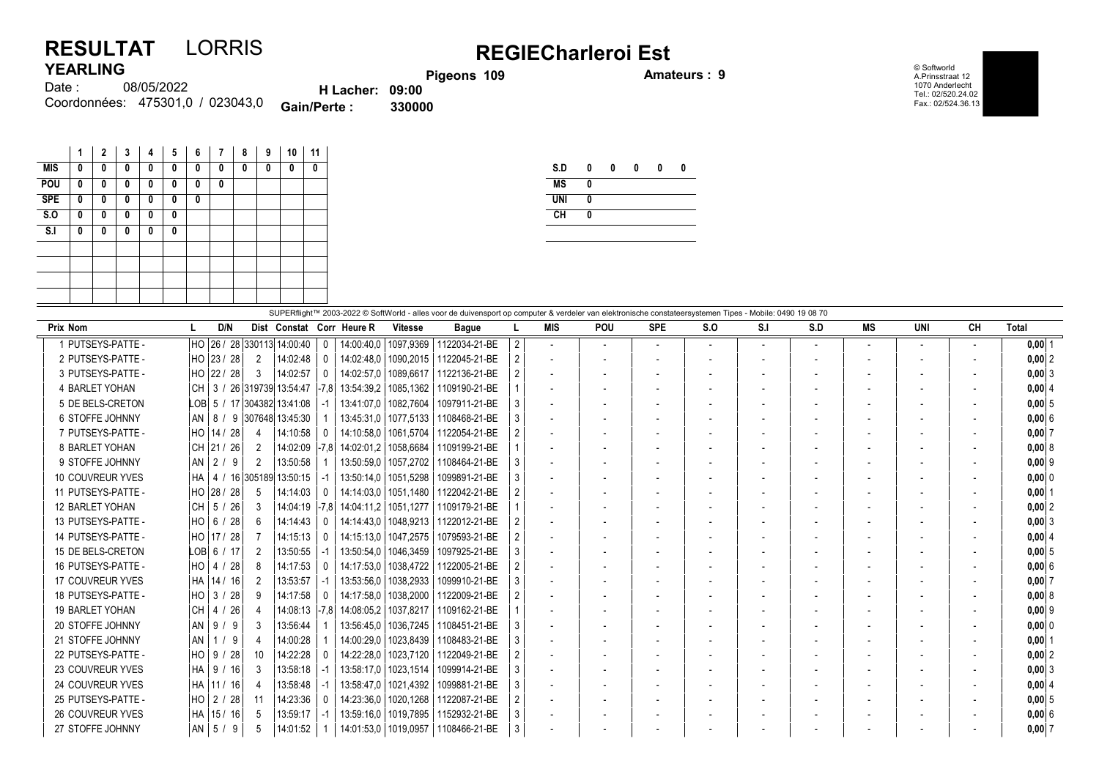## RESULTAT LORRIS REGIECharleroi Est YEARLING

Pigeons 109 **Amateurs : 9** 

© Softworld A.Prinsstraat 12 1070 Anderlecht Tel.: 02/520.24.02 Fax.: 02/524.36.13

| .        |                                  |                        |        |
|----------|----------------------------------|------------------------|--------|
| Date : : | 08/05/2022                       | <b>H</b> Lacher: 09:00 |        |
|          | Coordonnées: 475301,0 / 023043,0 | <b>Gain/Perte:</b>     | 330000 |

|            | 1 | $\mathbf{2}$ | 3 | 4 | 5 | 6 | 7 | 8 | 9 | 10 | 11 |
|------------|---|--------------|---|---|---|---|---|---|---|----|----|
| <b>MIS</b> | 0 | 0            | 0 | 0 | 0 | 0 | 0 | 0 | 0 | 0  | 0  |
| POU        | 0 | 0            | 0 | 0 | 0 | 0 | 0 |   |   |    |    |
| <b>SPE</b> | 0 | 0            | 0 | 0 | 0 | 0 |   |   |   |    |    |
| S.O        | 0 | 0            | 0 | 0 | 0 |   |   |   |   |    |    |
| S.I        | 0 | 0            | 0 | 0 | 0 |   |   |   |   |    |    |
|            |   |              |   |   |   |   |   |   |   |    |    |
|            |   |              |   |   |   |   |   |   |   |    |    |
|            |   |              |   |   |   |   |   |   |   |    |    |
|            |   |              |   |   |   |   |   |   |   |    |    |

| S.D        | 0 | 0 | 0 | 0 | Λ |
|------------|---|---|---|---|---|
| <b>MS</b>  | 0 |   |   |   |   |
| <b>UNI</b> | 0 |   |   |   |   |
| <b>CH</b>  | 0 |   |   |   |   |
|            |   |   |   |   |   |

| SUPERflight™ 2003-2022 © SoftWorld - alles voor de duivensport op computer & verdeler van elektronische constateersystemen Tipes - Mobile: 0490 19 08 70 |                                     |                           |              |            |                        |               |                |                          |                |                          |     |     |     |                          |     |    |            |
|----------------------------------------------------------------------------------------------------------------------------------------------------------|-------------------------------------|---------------------------|--------------|------------|------------------------|---------------|----------------|--------------------------|----------------|--------------------------|-----|-----|-----|--------------------------|-----|----|------------|
| Prix Nom                                                                                                                                                 | D/N                                 | Dist Constat Corr Heure R |              |            | <b>Vitesse</b>         | <b>Bague</b>  |                | <b>MIS</b>               | <b>POU</b>     | <b>SPE</b>               | S.O | S.I | S.D | MS                       | UNI | CН | Total      |
| 1 PUTSEYS-PATTE -                                                                                                                                        | HO  26 / 28  330113  14:00:40       |                           | $\mathbf{0}$ |            | 14:00:40.0   1097.9369 | 1122034-21-BE | $\overline{2}$ |                          | $\overline{a}$ | $\overline{\phantom{a}}$ |     |     |     | $\overline{\phantom{a}}$ |     |    | $0,00$  1  |
| 2 PUTSEYS-PATTE -                                                                                                                                        | HO 23 / 28<br>2                     | 14:02:48                  | $\mathbf{0}$ | 14:02:48.0 | 1090.2015              | 1122045-21-BE |                | $\overline{\phantom{a}}$ |                |                          |     |     |     |                          |     |    | $0,00$  2  |
| 3 PUTSEYS-PATTE -                                                                                                                                        | HO 22 / 28<br>3                     | 14:02:57                  | $\Omega$     | 14:02:57.0 | 1089.6617              | 1122136-21-BE |                | $\overline{\phantom{a}}$ |                |                          |     |     |     |                          |     |    | $0,00$ 3   |
| 4 BARLET YOHAN                                                                                                                                           | CH   3 / 26  319739  13:54:47  -7.8 |                           |              | 13:54:39.2 | 1085,1362              | 1109190-21-BE |                | $\overline{\phantom{a}}$ |                |                          |     |     |     | $\overline{\phantom{a}}$ |     |    | 0,00   4   |
| 5 DE BELS-CRETON                                                                                                                                         | LOB 5 / 17 304382 13:41:08          |                           |              |            | 13:41:07.0   1082.7604 | 1097911-21-BE |                |                          |                |                          |     |     |     |                          |     |    | 0,005      |
| 6 STOFFE JOHNNY                                                                                                                                          | AN   8 /                            | 9 307648 13:45:30         |              | 13:45:31.0 | 1077,5133              | 1108468-21-BE |                |                          |                |                          |     |     |     |                          |     |    | 0,006      |
| 7 PUTSEYS-PATTE -                                                                                                                                        | HO 14 / 28<br>-4                    | 14:10:58                  | - 0          | 14:10:58.0 | 1061,5704              | 1122054-21-BE |                | $\overline{\phantom{a}}$ |                |                          |     |     |     |                          |     |    | 0,007      |
| 8 BARLET YOHAN                                                                                                                                           | CH 21 / 26<br>$\overline{2}$        | 14:02:09  -7,8            |              |            | 14:02:01.2   1058.6684 | 1109199-21-BE |                | $\overline{\phantom{a}}$ |                |                          |     |     |     |                          |     |    | 0,00   8   |
| 9 STOFFE JOHNNY                                                                                                                                          | $AN$   2 / 9<br>2                   | 13:50:58                  |              | 13:50:59.0 | 1057.2702              | 1108464-21-BE |                |                          |                |                          |     |     |     |                          |     |    | $0,00$  9  |
| 10 COUVREUR YVES                                                                                                                                         | HA   4 / 16 305189 13:50:15         |                           | -1           |            | 13:50:14,0   1051,5298 | 1099891-21-BE | 3              |                          |                |                          |     |     |     |                          |     |    | 0,00 0     |
| 11 PUTSEYS-PATTE -                                                                                                                                       | HO 28 / 28<br>-5                    | 14:14:03                  | - 0          |            | 14:14:03.0   1051.1480 | 1122042-21-BE |                |                          |                |                          |     |     |     |                          |     |    | $0,00$   1 |
| 12 BARLET YOHAN                                                                                                                                          | CH   5 / 26  <br>3                  | 14:04:19  -7.8            |              |            | 14:04:11.2   1051.1277 | 1109179-21-BE |                |                          |                |                          |     |     |     |                          |     |    | 0.00 2     |
| 13 PUTSEYS-PATTE -                                                                                                                                       | HO 6 / 28<br>6                      | 14:14:43                  | 0            |            | 14:14:43.0   1048.9213 | 1122012-21-BE |                | $\overline{\phantom{a}}$ |                |                          |     |     |     | $\blacksquare$           |     |    | $0,00$ 3   |
| 14 PUTSEYS-PATTE -                                                                                                                                       | HO 17 / 28                          | 14:15:13                  | -0           |            | 14:15:13.0   1047.2575 | 1079593-21-BE |                | $\overline{\phantom{a}}$ |                |                          |     |     |     |                          |     |    | 0.00   4   |
| 15 DE BELS-CRETON                                                                                                                                        | $LOB$ 6 / 17<br>2                   | 13:50:55                  |              |            | 13:50:54.0   1046.3459 | 1097925-21-BE |                | $\overline{\phantom{a}}$ |                |                          |     |     |     | $\overline{\phantom{a}}$ |     |    | $0,00$ 5   |
| 16 PUTSEYS-PATTE -                                                                                                                                       | HO 4 / 28<br>8                      | 14:17:53                  | -0           |            | 14:17:53.0   1038.4722 | 1122005-21-BE |                |                          |                |                          |     |     |     |                          |     |    | 0,006      |
| 17 COUVREUR YVES                                                                                                                                         | HA 14 / 16<br>2                     | 13:53:57                  |              | 13:53:56.0 | 1038.2933              | 1099910-21-BE |                |                          |                |                          |     |     |     |                          |     |    | 0,007      |
| 18 PUTSEYS-PATTE -                                                                                                                                       | HO 3 / 28<br>-9                     | 14:17:58                  |              | 14:17:58.0 | 1038,2000              | 1122009-21-BE |                | $\overline{\phantom{a}}$ |                |                          |     |     |     |                          |     |    | 0,00   8   |
| <b>19 BARLET YOHAN</b>                                                                                                                                   | CH 4 / 26<br>-4                     | 14:08:13  -7,8            |              | 14:08:05.2 | 1037,8217              | 1109162-21-BE |                |                          |                |                          |     |     |     |                          |     |    | $0,00$  9  |
| 20 STOFFE JOHNNY                                                                                                                                         | $AN$   9 / 9<br>3                   | 13:56:44                  |              | 13:56:45.0 | 1036,7245              | 1108451-21-BE |                |                          |                |                          |     |     |     |                          |     |    | 0,000      |
| 21 STOFFE JOHNNY                                                                                                                                         | AN 1 / 9<br>4                       | 14:00:28                  |              | 14:00:29.0 | 1023.8439              | 1108483-21-BE | 3              | $\overline{\phantom{a}}$ |                |                          |     |     |     |                          |     |    | $0,00$   1 |
| 22 PUTSEYS-PATTE -                                                                                                                                       | $HO$   9 / 28<br>10                 | 14:22:28                  |              | 14:22:28.0 | 1023,7120              | 1122049-21-BE |                |                          |                |                          |     |     |     |                          |     |    | $0,00$ 2   |
| 23 COUVREUR YVES                                                                                                                                         | HA   9 / 16  <br>-3                 | 13:58:18                  | -1           | 13:58:17.0 | 1023.1514              | 1099914-21-BE | 3              |                          |                |                          |     |     |     |                          |     |    | $0,00$ 3   |
| 24 COUVREUR YVES                                                                                                                                         | HA   11 / 16  <br>4                 | 13:58:48                  |              | 13:58:47.0 | 1021,4392              | 1099881-21-BE | 3              |                          |                |                          |     |     |     |                          |     |    | 0,00   4   |
| 25 PUTSEYS-PATTE -                                                                                                                                       | HO   2 <i> </i> 28  <br>-11         | 14:23:36                  | - 0          | 14:23:36.0 | 1020.1268              | 1122087-21-BE | 2              |                          |                |                          |     |     |     |                          |     |    | 0.0015     |
| 26 COUVREUR YVES                                                                                                                                         | HA   15 / 16  <br>-5                | 13:59:17                  |              |            | 13:59:16.0   1019.7895 | 1152932-21-BE | 3              | $\overline{\phantom{a}}$ |                |                          |     |     |     |                          |     |    | 0,006      |
| 27 STOFFE JOHNNY                                                                                                                                         | AN   5 / 9                          | 14:01:52                  |              |            | 14:01:53,0   1019,0957 | 1108466-21-BE | 3              |                          |                |                          |     |     |     |                          |     |    | 0,007      |